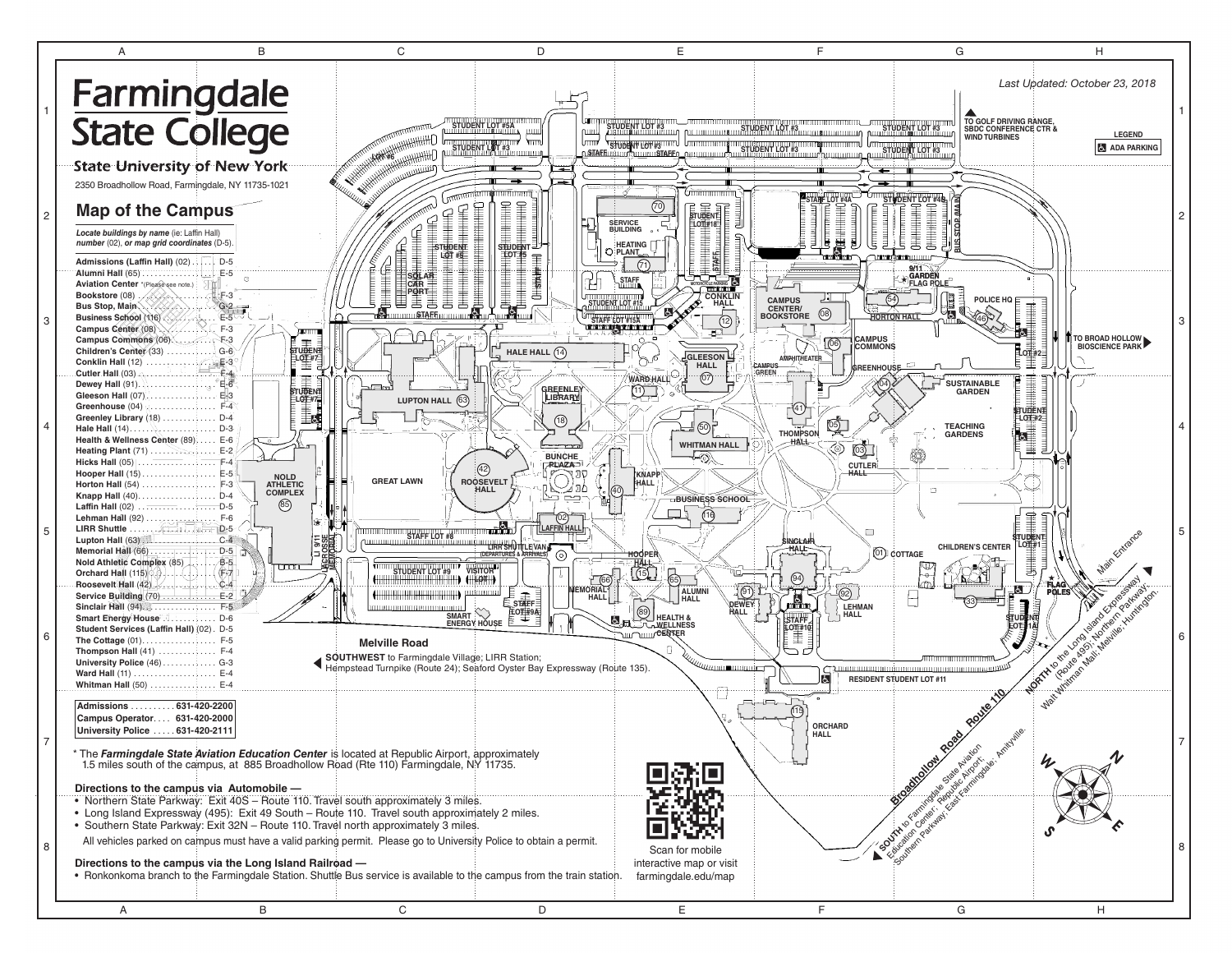